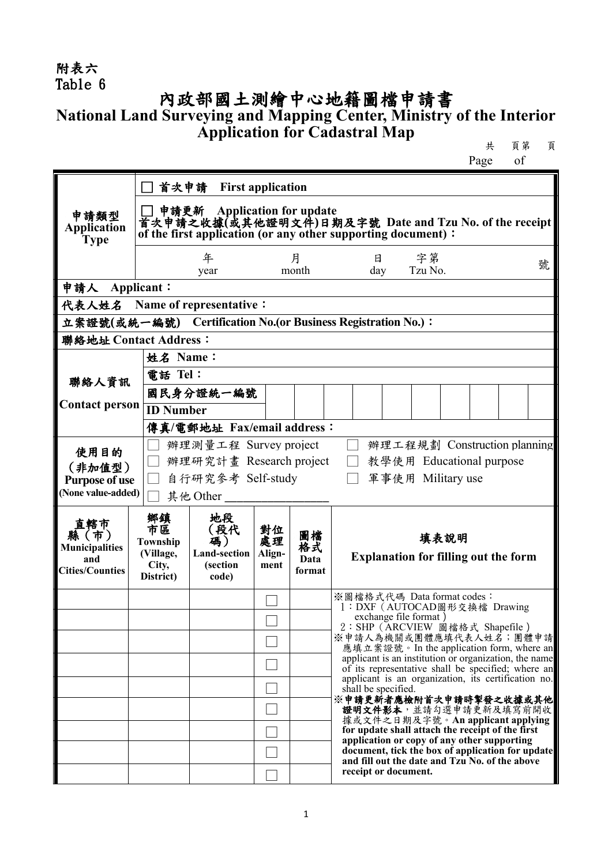附表六<br>Table 6

## Table 6<br>内政部國土測繪中心地籍圖檔申請書 **National Land Surveying and Mapping Center, Ministry of the Interior Application for Cadastral Map**

共 頁第 頁 Page of

|                                                                       |                                                                                                   | 首次申請 First application                                                                                                                                                  |                                                                        |                            |                                                                                                           |  |  |  |  |  |  |  |  |  |
|-----------------------------------------------------------------------|---------------------------------------------------------------------------------------------------|-------------------------------------------------------------------------------------------------------------------------------------------------------------------------|------------------------------------------------------------------------|----------------------------|-----------------------------------------------------------------------------------------------------------|--|--|--|--|--|--|--|--|--|
| 申請類型<br><b>Application</b><br><b>Type</b>                             |                                                                                                   | □ 申請更新 Application for update<br>首次申請之收據(或其他證明文件)日期及字號 Date and Tzu No. of the receipt<br>of the first application (or any other supporting document):                  |                                                                        |                            |                                                                                                           |  |  |  |  |  |  |  |  |  |
|                                                                       |                                                                                                   | 年<br>year                                                                                                                                                               |                                                                        | 月<br>month                 | 日<br>字第<br>號<br>Tzu No.<br>day                                                                            |  |  |  |  |  |  |  |  |  |
| 申請人 Applicant:                                                        |                                                                                                   |                                                                                                                                                                         |                                                                        |                            |                                                                                                           |  |  |  |  |  |  |  |  |  |
| 代表人姓名 Name of representative:                                         |                                                                                                   |                                                                                                                                                                         |                                                                        |                            |                                                                                                           |  |  |  |  |  |  |  |  |  |
| 立案證號(或統一編號) Certification No.(or Business Registration No.):          |                                                                                                   |                                                                                                                                                                         |                                                                        |                            |                                                                                                           |  |  |  |  |  |  |  |  |  |
| 聯絡地址 Contact Address:                                                 |                                                                                                   |                                                                                                                                                                         |                                                                        |                            |                                                                                                           |  |  |  |  |  |  |  |  |  |
|                                                                       | 姓名 Name:                                                                                          |                                                                                                                                                                         |                                                                        |                            |                                                                                                           |  |  |  |  |  |  |  |  |  |
| 聯絡人資訊                                                                 |                                                                                                   | 電話 Tel:                                                                                                                                                                 |                                                                        |                            |                                                                                                           |  |  |  |  |  |  |  |  |  |
|                                                                       |                                                                                                   | 國民身分證統一編號                                                                                                                                                               |                                                                        |                            |                                                                                                           |  |  |  |  |  |  |  |  |  |
| Contact person                                                        | <b>ID</b> Number                                                                                  |                                                                                                                                                                         |                                                                        |                            |                                                                                                           |  |  |  |  |  |  |  |  |  |
|                                                                       |                                                                                                   | 傳真/電郵地址 Fax/email address:                                                                                                                                              |                                                                        |                            |                                                                                                           |  |  |  |  |  |  |  |  |  |
| 使用目的<br>(非加值型)<br><b>Purpose of use</b><br>(None value-added)         | $\mathcal{L}$<br>$\Box$                                                                           | □ 辦理工程規劃 Construction planning<br>辦理測量工程 Survey project<br>辨理研究計畫 Research project □ 教學使用 Educational purpose<br>自行研究參考 Self-study<br>□ 軍事使用 Military use<br>其他 Other _ |                                                                        |                            |                                                                                                           |  |  |  |  |  |  |  |  |  |
| 直轄市<br>縣(市)<br><b>Municipalities</b><br>and<br><b>Cities/Counties</b> | 鄉鎮<br>市區<br>Township<br>(Village,<br>City,<br>District)                                           | 地段<br>(段代<br>碼)<br><b>Land-section</b><br>(section<br>code)                                                                                                             | 對位<br>處理<br>Align-<br>ment                                             | 圖檔<br>格式<br>Data<br>format | 填表說明<br><b>Explanation for filling out the form</b>                                                       |  |  |  |  |  |  |  |  |  |
|                                                                       |                                                                                                   |                                                                                                                                                                         |                                                                        |                            | ※圖檔格式代碼 Data format codes:<br>1: DXF (AUTOCAD圖形交換檔 Drawing                                                |  |  |  |  |  |  |  |  |  |
|                                                                       | exchange file format)                                                                             |                                                                                                                                                                         |                                                                        |                            |                                                                                                           |  |  |  |  |  |  |  |  |  |
|                                                                       | 2: SHP (ARCVIEW 圖檔格式 Shapefile)<br>※申請人為機關或團體應填代表人姓名;團體申請                                         |                                                                                                                                                                         |                                                                        |                            |                                                                                                           |  |  |  |  |  |  |  |  |  |
|                                                                       | 應填立案證號。In the application form, where an<br>applicant is an institution or organization, the name |                                                                                                                                                                         |                                                                        |                            |                                                                                                           |  |  |  |  |  |  |  |  |  |
|                                                                       |                                                                                                   |                                                                                                                                                                         |                                                                        |                            | of its representative shall be specified; where an<br>applicant is an organization, its certification no. |  |  |  |  |  |  |  |  |  |
|                                                                       |                                                                                                   |                                                                                                                                                                         |                                                                        |                            | shall be specified.                                                                                       |  |  |  |  |  |  |  |  |  |
|                                                                       |                                                                                                   |                                                                                                                                                                         |                                                                        |                            | ※申請更新者應檢附首次申請時掣發之收據或其他<br>證明文件影本,並請勾選申請更新及填寫前開收                                                           |  |  |  |  |  |  |  |  |  |
|                                                                       |                                                                                                   |                                                                                                                                                                         |                                                                        |                            | 據或文件之日期及字號。An applicant applying<br>for update shall attach the receipt of the first                      |  |  |  |  |  |  |  |  |  |
|                                                                       |                                                                                                   |                                                                                                                                                                         |                                                                        |                            | application or copy of any other supporting<br>document, tick the box of application for update           |  |  |  |  |  |  |  |  |  |
|                                                                       |                                                                                                   |                                                                                                                                                                         | and fill out the date and Tzu No. of the above<br>receipt or document. |                            |                                                                                                           |  |  |  |  |  |  |  |  |  |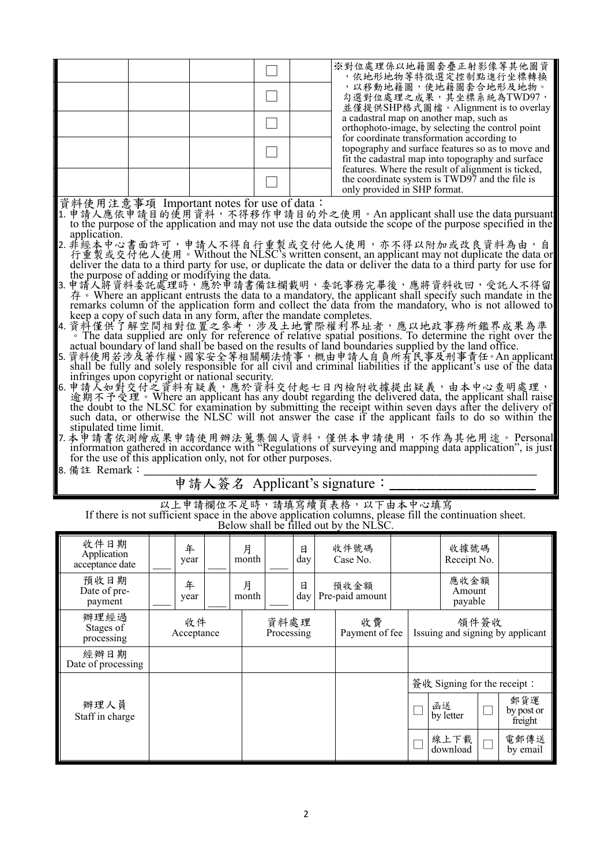|                                                                                                                                                                                                                                                                                                                                                                                                                                                                                                                                                                                                                                                                                                                                                                                                                                                                                                                                                                                                                                                                                                                                                                                                                                                                                                                                                                                                                                                                                                                                                                                                                                                                                                                                                                                                                                                                                                                                                                                                                                                                         |                                                                                                                                    |                              |  |  | ※對位處理係以地籍圖套疊正射影像等其他圖資<br>, 依地形地物等特徵選定控制點進行坐標轉換                                                                                            |  |  |  |  |
|-------------------------------------------------------------------------------------------------------------------------------------------------------------------------------------------------------------------------------------------------------------------------------------------------------------------------------------------------------------------------------------------------------------------------------------------------------------------------------------------------------------------------------------------------------------------------------------------------------------------------------------------------------------------------------------------------------------------------------------------------------------------------------------------------------------------------------------------------------------------------------------------------------------------------------------------------------------------------------------------------------------------------------------------------------------------------------------------------------------------------------------------------------------------------------------------------------------------------------------------------------------------------------------------------------------------------------------------------------------------------------------------------------------------------------------------------------------------------------------------------------------------------------------------------------------------------------------------------------------------------------------------------------------------------------------------------------------------------------------------------------------------------------------------------------------------------------------------------------------------------------------------------------------------------------------------------------------------------------------------------------------------------------------------------------------------------|------------------------------------------------------------------------------------------------------------------------------------|------------------------------|--|--|-------------------------------------------------------------------------------------------------------------------------------------------|--|--|--|--|
|                                                                                                                                                                                                                                                                                                                                                                                                                                                                                                                                                                                                                                                                                                                                                                                                                                                                                                                                                                                                                                                                                                                                                                                                                                                                                                                                                                                                                                                                                                                                                                                                                                                                                                                                                                                                                                                                                                                                                                                                                                                                         |                                                                                                                                    |                              |  |  | ,以移動地籍圖,使地籍圖套合地形及地物。<br>勾選對位處理之成果,其坐標系統為TWD97,<br>並僅提供SHP格式圖檔。Alignment is to overlay                                                     |  |  |  |  |
|                                                                                                                                                                                                                                                                                                                                                                                                                                                                                                                                                                                                                                                                                                                                                                                                                                                                                                                                                                                                                                                                                                                                                                                                                                                                                                                                                                                                                                                                                                                                                                                                                                                                                                                                                                                                                                                                                                                                                                                                                                                                         |                                                                                                                                    |                              |  |  | a cadastral map on another map, such as<br>orthophoto-image, by selecting the control point<br>for coordinate transformation according to |  |  |  |  |
|                                                                                                                                                                                                                                                                                                                                                                                                                                                                                                                                                                                                                                                                                                                                                                                                                                                                                                                                                                                                                                                                                                                                                                                                                                                                                                                                                                                                                                                                                                                                                                                                                                                                                                                                                                                                                                                                                                                                                                                                                                                                         |                                                                                                                                    |                              |  |  | topography and surface features so as to move and<br>fit the cadastral map into topography and surface                                    |  |  |  |  |
|                                                                                                                                                                                                                                                                                                                                                                                                                                                                                                                                                                                                                                                                                                                                                                                                                                                                                                                                                                                                                                                                                                                                                                                                                                                                                                                                                                                                                                                                                                                                                                                                                                                                                                                                                                                                                                                                                                                                                                                                                                                                         |                                                                                                                                    |                              |  |  | features. Where the result of alignment is ticked,<br>the coordinate system is TWD97 and the file is<br>only provided in SHP format.      |  |  |  |  |
| 資料使用注意事項 Important notes for use of data:<br>申請人應依申請目的使用資料,不得移作申請目的外之使用。An applicant shall use the data pursuant<br>11.<br>to the purpose of the application and may not use the data outside the scope of the purpose specified in the<br>application.<br>非經本中心書面許可,申請人不得自行重製或交付他人使用,亦不得以附加或改良資料為由,自<br>行重製或交付他人使用。Without the NLSC's written consent, an applicant may not duplicate the data or<br>deliver the data to a third party for use, or duplicate the data or deliver the data to a third party for use for<br>the purpose of adding or modifying the data.<br>申請人將資料委託處理時,應於申請書備註欄載明,委託事務完畢後,應將資料收回,受託人不得留<br>3.<br>存 • Where an applicant entrusts the data to a mandatory, the applicant shall specify such mandate in the<br>remarks column of the application form and collect the data from the mandatory, who is not allowed to<br>keep a copy of such data in any form, after the mandate completes.<br>  4. 資料僅供了解空間相對位置之參考,涉及土地實際權利界址者,應以地政事務所鑑界成果為準<br>• The data supplied are only for reference of relative spatial positions. To determine the right over the<br>actual boundary of land shall be based on the results of land boundaries supplied by the land office.<br>5. 資料使用若涉及著作權、國家安全等相關觸法情事,概由申請人自負所有民事及刑事責任。An applicant<br>Shall be fully and solely responsible for all civil and criminal liabilities if the applicant's use of the data<br>infringes upon copyright or national security.<br>  6. 申請人如對交付之資料有疑義,應於資料交付起七日內檢附收據提出疑義,由本中心查明處理,<br>逾期不予受理。Where an applicant has any doubt regarding the delivered data, the applicant shall raise<br>the doubt to the NLSC for examination by submitting the receipt within seven days after the delivery of<br>such data, or otherwise the NLSC will not answer the case if the applicant fails to do so within the<br>stipulated time limit.<br>7. 本申請書依測繪成果申請使用辦法蒐集個人資料, 僅供本申請使用, 不作為其他用途。Personal<br>information gathered in accordance with "Regulations of surveying and mapping data application", is just<br>for the use of this application only, not for other purposes. |                                                                                                                                    |                              |  |  |                                                                                                                                           |  |  |  |  |
| 8. 備註 Remark:                                                                                                                                                                                                                                                                                                                                                                                                                                                                                                                                                                                                                                                                                                                                                                                                                                                                                                                                                                                                                                                                                                                                                                                                                                                                                                                                                                                                                                                                                                                                                                                                                                                                                                                                                                                                                                                                                                                                                                                                                                                           |                                                                                                                                    | 申請人簽名 Applicant's signature: |  |  |                                                                                                                                           |  |  |  |  |
|                                                                                                                                                                                                                                                                                                                                                                                                                                                                                                                                                                                                                                                                                                                                                                                                                                                                                                                                                                                                                                                                                                                                                                                                                                                                                                                                                                                                                                                                                                                                                                                                                                                                                                                                                                                                                                                                                                                                                                                                                                                                         | 以上申請欄位不足時,請填寫續頁表格,以下由本中心填寫<br>If there is not sufficient space in the above application columns, place fill the continuation sheet |                              |  |  |                                                                                                                                           |  |  |  |  |

If there is not sufficient space in the above application columns, please fill the continuation sheet.

|  |  |  |  |  | Below shall be filled out by the NLSC. |  |
|--|--|--|--|--|----------------------------------------|--|
|  |  |  |  |  |                                        |  |

| 收件日期<br>Application<br>acceptance date |                  | 年<br>year |  | 月<br>month         |  | 日<br>day |                      | 收件號碼<br>Case No.        |  |                                          | 收據號碼<br>Receipt No.         |  |                              |
|----------------------------------------|------------------|-----------|--|--------------------|--|----------|----------------------|-------------------------|--|------------------------------------------|-----------------------------|--|------------------------------|
| 預收日期<br>Date of pre-<br>payment        |                  | 年<br>year |  | 月<br>month         |  | 日<br>day |                      | 預收金額<br>Pre-paid amount |  |                                          | 應收金額<br>Amount<br>payable   |  |                              |
| 辦理經過<br>Stages of<br>processing        | 收件<br>Acceptance |           |  | 資料處理<br>Processing |  |          | 收費<br>Payment of fee |                         |  | 領件簽收<br>Issuing and signing by applicant |                             |  |                              |
| 經辦日期<br>Date of processing             |                  |           |  |                    |  |          |                      |                         |  |                                          |                             |  |                              |
|                                        |                  |           |  |                    |  |          |                      |                         |  |                                          | 簽收 Signing for the receipt: |  |                              |
| 辦理人員<br>Staff in charge                |                  |           |  |                    |  |          |                      |                         |  |                                          | 函送<br>by letter             |  | 郵貨運<br>by post or<br>freight |
|                                        |                  |           |  |                    |  |          |                      |                         |  |                                          | 線上下載<br>download            |  | 電郵傳送<br>by email             |